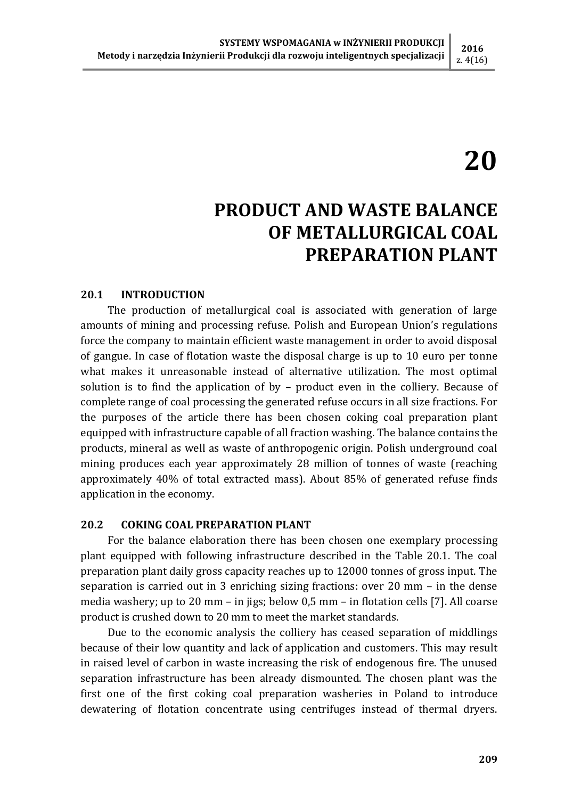### z. 4(16)

# 20

## PRODUCT AND WASTE BALANCE OF METALLURGICAL COAL PREPARATION PLANT

#### 20.1 INTRODUCTION

The production of metallurgical coal is associated with generation of large amounts of mining and processing refuse. Polish and European Union's regulations force the company to maintain efficient waste management in order to avoid disposal of gangue. In case of flotation waste the disposal charge is up to 10 euro per tonne what makes it unreasonable instead of alternative utilization. The most optimal solution is to find the application of by – product even in the colliery. Because of complete range of coal processing the generated refuse occurs in all size fractions. For the purposes of the article there has been chosen coking coal preparation plant equipped with infrastructure capable of all fraction washing. The balance contains the products, mineral as well as waste of anthropogenic origin. Polish underground coal mining produces each year approximately 28 million of tonnes of waste (reaching approximately 40% of total extracted mass). About 85% of generated refuse finds application in the economy.

#### 20.2 COKING COAL PREPARATION PLANT

For the balance elaboration there has been chosen one exemplary processing plant equipped with following infrastructure described in the Table 20.1. The coal preparation plant daily gross capacity reaches up to 12000 tonnes of gross input. The separation is carried out in 3 enriching sizing fractions: over 20 mm – in the dense media washery; up to 20 mm – in jigs; below 0,5 mm – in flotation cells [7]. All coarse product is crushed down to 20 mm to meet the market standards.

Due to the economic analysis the colliery has ceased separation of middlings because of their low quantity and lack of application and customers. This may result in raised level of carbon in waste increasing the risk of endogenous fire. The unused separation infrastructure has been already dismounted. The chosen plant was the first one of the first coking coal preparation washeries in Poland to introduce dewatering of flotation concentrate using centrifuges instead of thermal dryers.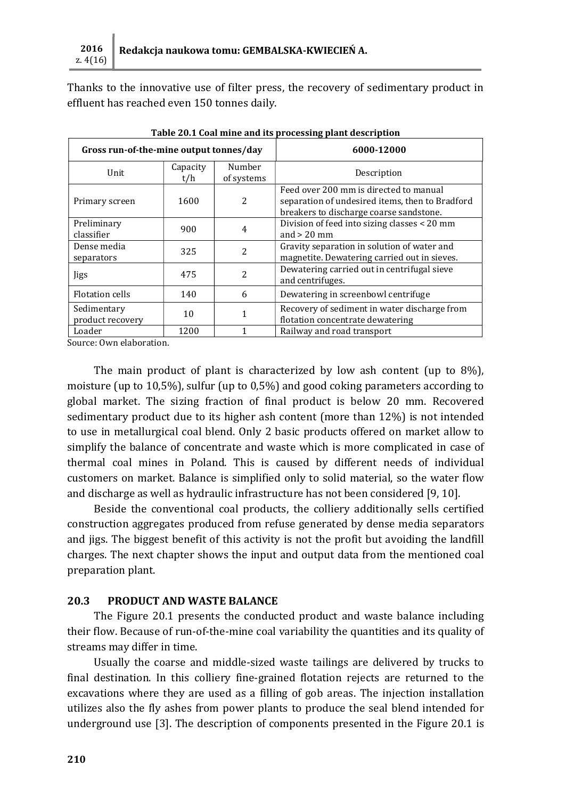Thanks to the innovative use of filter press, the recovery of sedimentary product in effluent has reached even 150 tonnes daily.

| Gross run-of-the-mine output tonnes/day |                 |                      | 6000-12000                                                                                                                           |  |
|-----------------------------------------|-----------------|----------------------|--------------------------------------------------------------------------------------------------------------------------------------|--|
| Unit                                    | Capacity<br>t/h | Number<br>of systems | Description                                                                                                                          |  |
| Primary screen                          | 1600            | 2                    | Feed over 200 mm is directed to manual<br>separation of undesired items, then to Bradford<br>breakers to discharge coarse sandstone. |  |
| Preliminary<br>classifier               | 900             | 4                    | Division of feed into sizing classes < 20 mm<br>and $> 20$ mm                                                                        |  |
| Dense media<br>separators               | 325             | 2                    | Gravity separation in solution of water and<br>magnetite. Dewatering carried out in sieves.                                          |  |
| Jigs                                    | 475             | 2                    | Dewatering carried out in centrifugal sieve<br>and centrifuges.                                                                      |  |
| <b>Flotation cells</b>                  | 140             | 6                    | Dewatering in screenbowl centrifuge                                                                                                  |  |
| Sedimentary<br>product recovery         | 10              |                      | Recovery of sediment in water discharge from<br>flotation concentrate dewatering                                                     |  |
| Loader                                  | 1200            |                      | Railway and road transport                                                                                                           |  |

Table 20.1 Coal mine and its processing plant description

Source: Own elaboration.

The main product of plant is characterized by low ash content (up to 8%), moisture (up to 10,5%), sulfur (up to 0,5%) and good coking parameters according to global market. The sizing fraction of final product is below 20 mm. Recovered sedimentary product due to its higher ash content (more than 12%) is not intended to use in metallurgical coal blend. Only 2 basic products offered on market allow to simplify the balance of concentrate and waste which is more complicated in case of thermal coal mines in Poland. This is caused by different needs of individual customers on market. Balance is simplified only to solid material, so the water flow and discharge as well as hydraulic infrastructure has not been considered [9, 10].

Beside the conventional coal products, the colliery additionally sells certified construction aggregates produced from refuse generated by dense media separators and jigs. The biggest benefit of this activity is not the profit but avoiding the landfill charges. The next chapter shows the input and output data from the mentioned coal preparation plant.

#### 20.3 PRODUCT AND WASTE BALANCE

The Figure 20.1 presents the conducted product and waste balance including their flow. Because of run-of-the-mine coal variability the quantities and its quality of streams may differ in time.

Usually the coarse and middle-sized waste tailings are delivered by trucks to final destination. In this colliery fine-grained flotation rejects are returned to the excavations where they are used as a filling of gob areas. The injection installation utilizes also the fly ashes from power plants to produce the seal blend intended for underground use [3]. The description of components presented in the Figure 20.1 is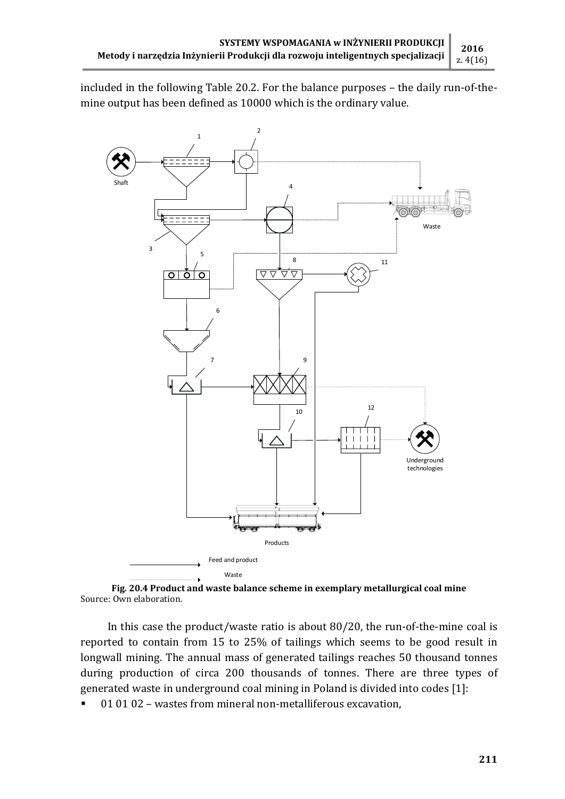included in the following Table 20.2. For the balance purposes – the daily run-of-themine output has been defined as 10000 which is the ordinary value.



Fig. 20.4 Product and waste balance scheme in exemplary metallurgical coal mine Source: Own elaboration.

In this case the product/waste ratio is about 80/20, the run-of-the-mine coal is reported to contain from 15 to 25% of tailings which seems to be good result in longwall mining. The annual mass of generated tailings reaches 50 thousand tonnes during production of circa 200 thousands of tonnes. There are three types of generated waste in underground coal mining in Poland is divided into codes [1]:

01 01 02 – wastes from mineral non-metalliferous excavation,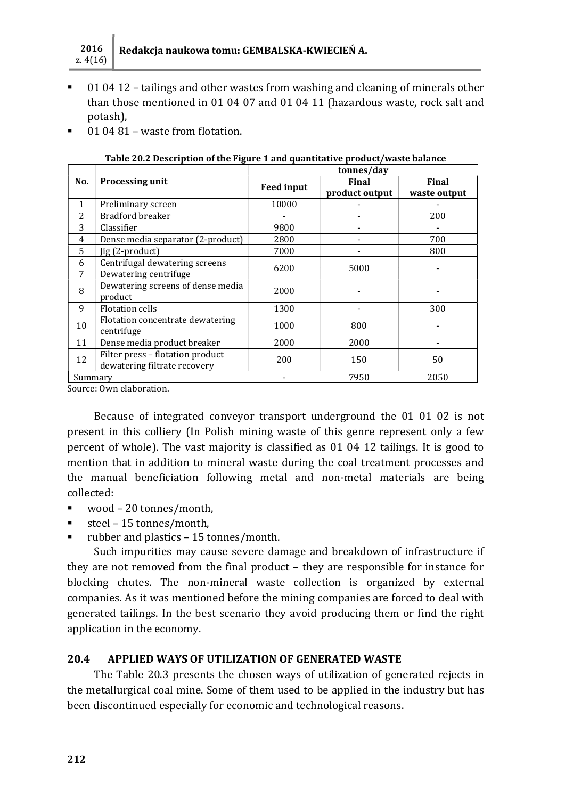

- 01 04 12 tailings and other wastes from washing and cleaning of minerals other than those mentioned in 01 04 07 and 01 04 11 (hazardous waste, rock salt and potash),
- 01 04 81 waste from flotation.

|         |                                                                  | tonnes/day        |                         |                              |  |
|---------|------------------------------------------------------------------|-------------------|-------------------------|------------------------------|--|
| No.     | <b>Processing unit</b>                                           | <b>Feed input</b> | Final<br>product output | <b>Final</b><br>waste output |  |
| 1       | Preliminary screen                                               | 10000             |                         |                              |  |
| 2       | Bradford breaker                                                 |                   |                         | 200                          |  |
| 3       | Classifier                                                       | 9800              |                         |                              |  |
| 4       | Dense media separator (2-product)                                | 2800              |                         | 700                          |  |
| 5       | Jig (2-product)                                                  | 7000              |                         | 800                          |  |
| 6       | Centrifugal dewatering screens                                   | 6200              | 5000                    |                              |  |
| 7       | Dewatering centrifuge                                            |                   |                         |                              |  |
| 8       | Dewatering screens of dense media<br>product                     | 2000              |                         |                              |  |
| 9       | <b>Flotation cells</b>                                           | 1300              |                         | 300                          |  |
| 10      | Flotation concentrate dewatering<br>centrifuge                   | 1000              | 800                     |                              |  |
| 11      | Dense media product breaker                                      | 2000              | 2000                    |                              |  |
| 12      | Filter press - flotation product<br>dewatering filtrate recovery | 200               | 150                     | 50                           |  |
| Summary |                                                                  |                   | 7950                    | 2050                         |  |

Table 20.2 Description of the Figure 1 and quantitative product/waste balance

Source: Own elaboration.

Because of integrated conveyor transport underground the 01 01 02 is not present in this colliery (In Polish mining waste of this genre represent only a few percent of whole). The vast majority is classified as 01 04 12 tailings. It is good to mention that in addition to mineral waste during the coal treatment processes and the manual beneficiation following metal and non-metal materials are being collected:

- wood 20 tonnes/month,
- steel 15 tonnes/month,
- rubber and plastics 15 tonnes/month.

Such impurities may cause severe damage and breakdown of infrastructure if they are not removed from the final product – they are responsible for instance for blocking chutes. The non-mineral waste collection is organized by external companies. As it was mentioned before the mining companies are forced to deal with generated tailings. In the best scenario they avoid producing them or find the right application in the economy.

#### 20.4 APPLIED WAYS OF UTILIZATION OF GENERATED WASTE

The Table 20.3 presents the chosen ways of utilization of generated rejects in the metallurgical coal mine. Some of them used to be applied in the industry but has been discontinued especially for economic and technological reasons.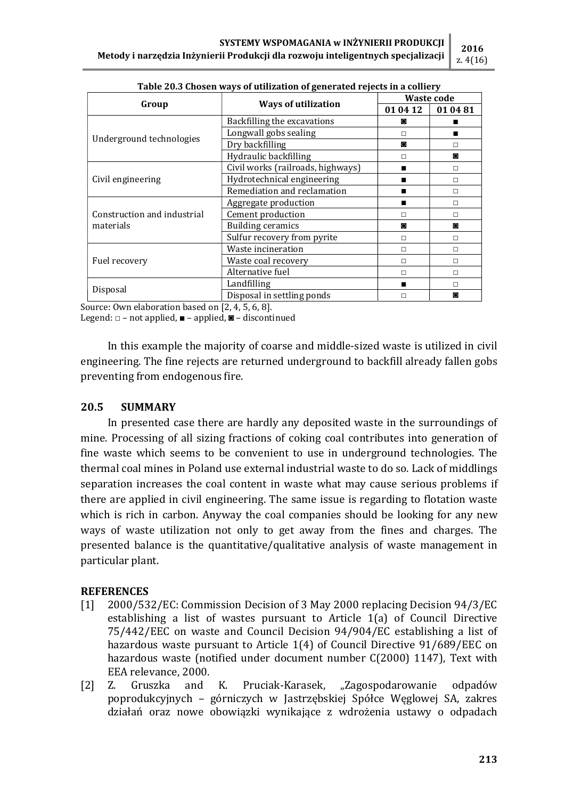|                                          | rabic Loid Ghosch ways or atminition or generated rejects in a comery | <b>Waste code</b> |          |
|------------------------------------------|-----------------------------------------------------------------------|-------------------|----------|
| Group                                    | <b>Ways of utilization</b>                                            | 01 04 12          | 01 04 81 |
|                                          | Backfilling the excavations                                           | O                 |          |
|                                          | Longwall gobs sealing                                                 | П                 | п        |
| Underground technologies                 | Dry backfilling                                                       | $\circ$           | $\Box$   |
|                                          | Hydraulic backfilling                                                 | П                 | O        |
|                                          | Civil works (railroads, highways)                                     | ▬                 | $\Box$   |
| Civil engineering                        | Hydrotechnical engineering                                            |                   | П        |
|                                          | Remediation and reclamation                                           |                   | $\Box$   |
|                                          | Aggregate production                                                  | $\blacksquare$    | $\Box$   |
| Construction and industrial<br>materials | Cement production                                                     | $\Box$            | $\Box$   |
|                                          | <b>Building ceramics</b>                                              | $\circ$           | O        |
|                                          | Sulfur recovery from pyrite                                           | П                 | $\Box$   |
|                                          | Waste incineration                                                    | $\Box$            | $\Box$   |
| Fuel recovery                            | Waste coal recovery                                                   | П                 | П        |
|                                          | Alternative fuel                                                      | П                 | П        |
|                                          | Landfilling                                                           | $\blacksquare$    | П        |
| Disposal                                 | Disposal in settling ponds                                            | П                 | O        |

Table 20.3 Chosen ways of utilization of generated rejects in a colliery

Source: Own elaboration based on [2, 4, 5, 6, 8].

Legend:  $\Box$  – not applied,  $\blacksquare$  – applied,  $\blacksquare$  – discontinued

In this example the majority of coarse and middle-sized waste is utilized in civil engineering. The fine rejects are returned underground to backfill already fallen gobs preventing from endogenous fire.

#### 20.5 SUMMARY

In presented case there are hardly any deposited waste in the surroundings of mine. Processing of all sizing fractions of coking coal contributes into generation of fine waste which seems to be convenient to use in underground technologies. The thermal coal mines in Poland use external industrial waste to do so. Lack of middlings separation increases the coal content in waste what may cause serious problems if there are applied in civil engineering. The same issue is regarding to flotation waste which is rich in carbon. Anyway the coal companies should be looking for any new ways of waste utilization not only to get away from the fines and charges. The presented balance is the quantitative/qualitative analysis of waste management in particular plant.

#### **REFERENCES**

- [1] 2000/532/EC: Commission Decision of 3 May 2000 replacing Decision 94/3/EC establishing a list of wastes pursuant to Article 1(a) of Council Directive 75/442/EEC on waste and Council Decision 94/904/EC establishing a list of hazardous waste pursuant to Article 1(4) of Council Directive 91/689/EEC on hazardous waste (notified under document number C(2000) 1147), Text with EEA relevance, 2000.
- [2] Z. Gruszka and K. Pruciak-Karasek, "Zagospodarowanie odpadów poprodukcyjnych – górniczych w Jastrzębskiej Spółce Węglowej SA, zakres działań oraz nowe obowiązki wynikające z wdrożenia ustawy o odpadach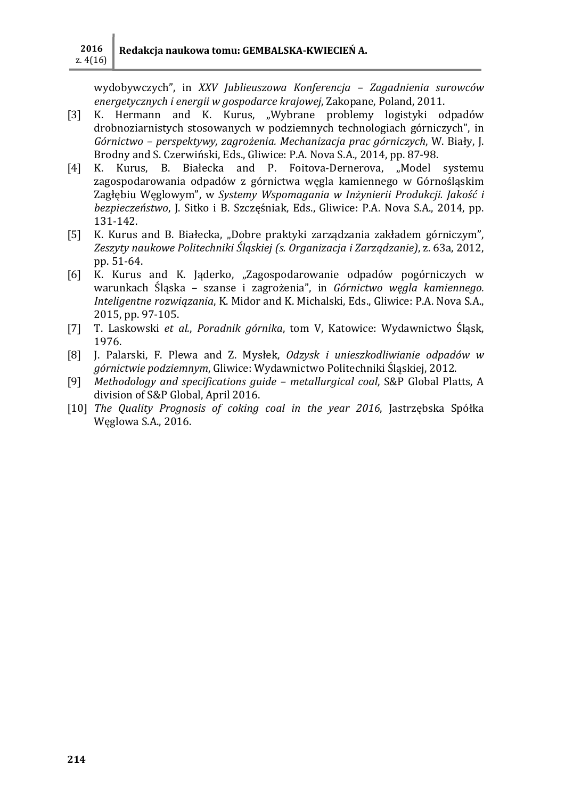wydobywczych", in XXV Jublieuszowa Konferencja – Zagadnienia surowców energetycznych i energii w gospodarce krajowej, Zakopane, Poland, 2011.

- [3] K. Hermann and K. Kurus, "Wybrane problemy logistyki odpadów drobnoziarnistych stosowanych w podziemnych technologiach górniczych", in Górnictwo – perspektywy, zagrożenia. Mechanizacja prac górniczych, W. Biały, J. Brodny and S. Czerwiński, Eds., Gliwice: P.A. Nova S.A., 2014, pp. 87-98.
- [4] K. Kurus, B. Białecka and P. Foitova-Dernerova, "Model systemu zagospodarowania odpadów z górnictwa węgla kamiennego w Górnośląskim Zagłębiu Węglowym", w Systemy Wspomagania w Inżynierii Produkcji. Jakość i bezpieczeństwo, J. Sitko i B. Szczęśniak, Eds., Gliwice: P.A. Nova S.A., 2014, pp. 131-142.
- [5] K. Kurus and B. Białecka, "Dobre praktyki zarządzania zakładem górniczym", Zeszyty naukowe Politechniki Śląskiej (s. Organizacja i Zarządzanie), z. 63a, 2012, pp. 51-64.
- [6] K. Kurus and K. Jaderko, "Zagospodarowanie odpadów pogórniczych w warunkach Śląska – szanse i zagrożenia", in Górnictwo węgla kamiennego. Inteligentne rozwiązania, K. Midor and K. Michalski, Eds., Gliwice: P.A. Nova S.A., 2015, pp. 97-105.
- [7] T. Laskowski et al., Poradnik górnika, tom V, Katowice: Wydawnictwo Śląsk, 1976.
- [8] J. Palarski, F. Plewa and Z. Mysłek, Odzysk i unieszkodliwianie odpadów w górnictwie podziemnym, Gliwice: Wydawnictwo Politechniki Śląskiej, 2012.
- [9] Methodology and specifications guide metallurgical coal, S&P Global Platts, A division of S&P Global, April 2016.
- [10] The Quality Prognosis of coking coal in the year 2016, Jastrzębska Spółka Węglowa S.A., 2016.